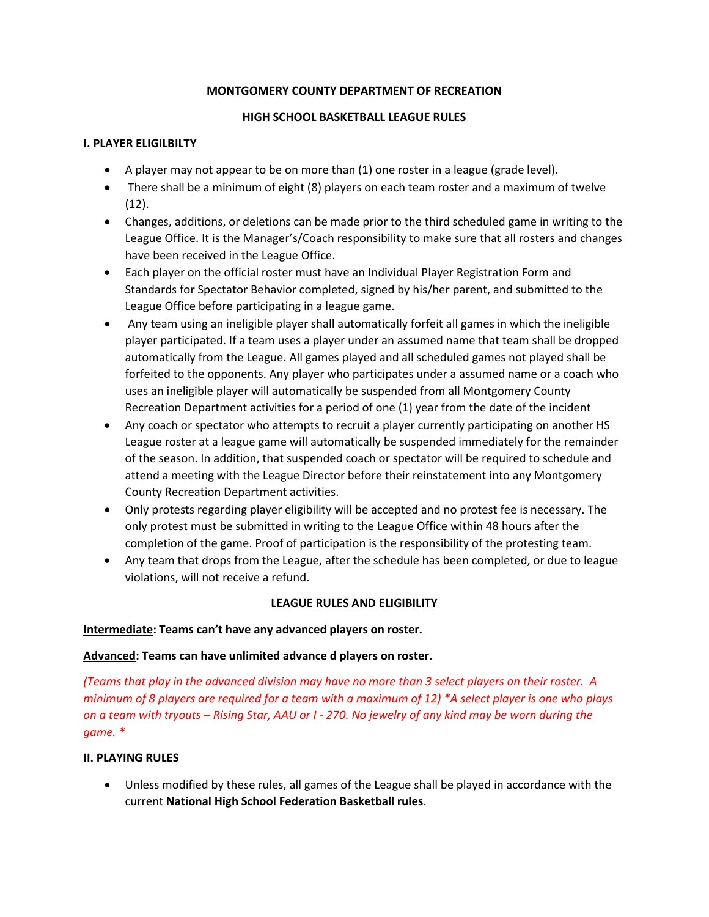## **MONTGOMERY COUNTY DEPARTMENT OF RECREATION**

## **HIGH SCHOOL BASKETBALL LEAGUE RULES**

## **I. PLAYER ELIGILBILTY**

- A player may not appear to be on more than (1) one roster in a league (grade level).
- There shall be a minimum of eight (8) players on each team roster and a maximum of twelve (12).
- Changes, additions, or deletions can be made prior to the third scheduled game in writing to the League Office. It is the Manager's/Coach responsibility to make sure that all rosters and changes have been received in the League Office.
- Each player on the official roster must have an Individual Player Registration Form and Standards for Spectator Behavior completed, signed by his/her parent, and submitted to the League Office before participating in a league game.
- Any team using an ineligible player shall automatically forfeit all games in which the ineligible player participated. If a team uses a player under an assumed name that team shall be dropped automatically from the League. All games played and all scheduled games not played shall be forfeited to the opponents. Any player who participates under a assumed name or a coach who uses an ineligible player will automatically be suspended from all Montgomery County Recreation Department activities for a period of one (1) year from the date of the incident
- Any coach or spectator who attempts to recruit a player currently participating on another HS League roster at a league game will automatically be suspended immediately for the remainder of the season. In addition, that suspended coach or spectator will be required to schedule and attend a meeting with the League Director before their reinstatement into any Montgomery County Recreation Department activities.
- Only protests regarding player eligibility will be accepted and no protest fee is necessary. The only protest must be submitted in writing to the League Office within 48 hours after the completion of the game. Proof of participation is the responsibility of the protesting team.
- Any team that drops from the League, after the schedule has been completed, or due to league violations, will not receive a refund.

# **LEAGUE RULES AND ELIGIBILITY**

#### **Intermediate: Teams can't have any advanced players on roster.**

# **Advanced: Teams can have unlimited advance d players on roster.**

*(Teams that play in the advanced division may have no more than 3 select players on their roster. A minimum of 8 players are required for a team with a maximum of 12) \*A select player is one who plays on a team with tryouts – Rising Star, AAU or I - 270. No jewelry of any kind may be worn during the game. \**

#### **II. PLAYING RULES**

 Unless modified by these rules, all games of the League shall be played in accordance with the current **National High School Federation Basketball rules**.